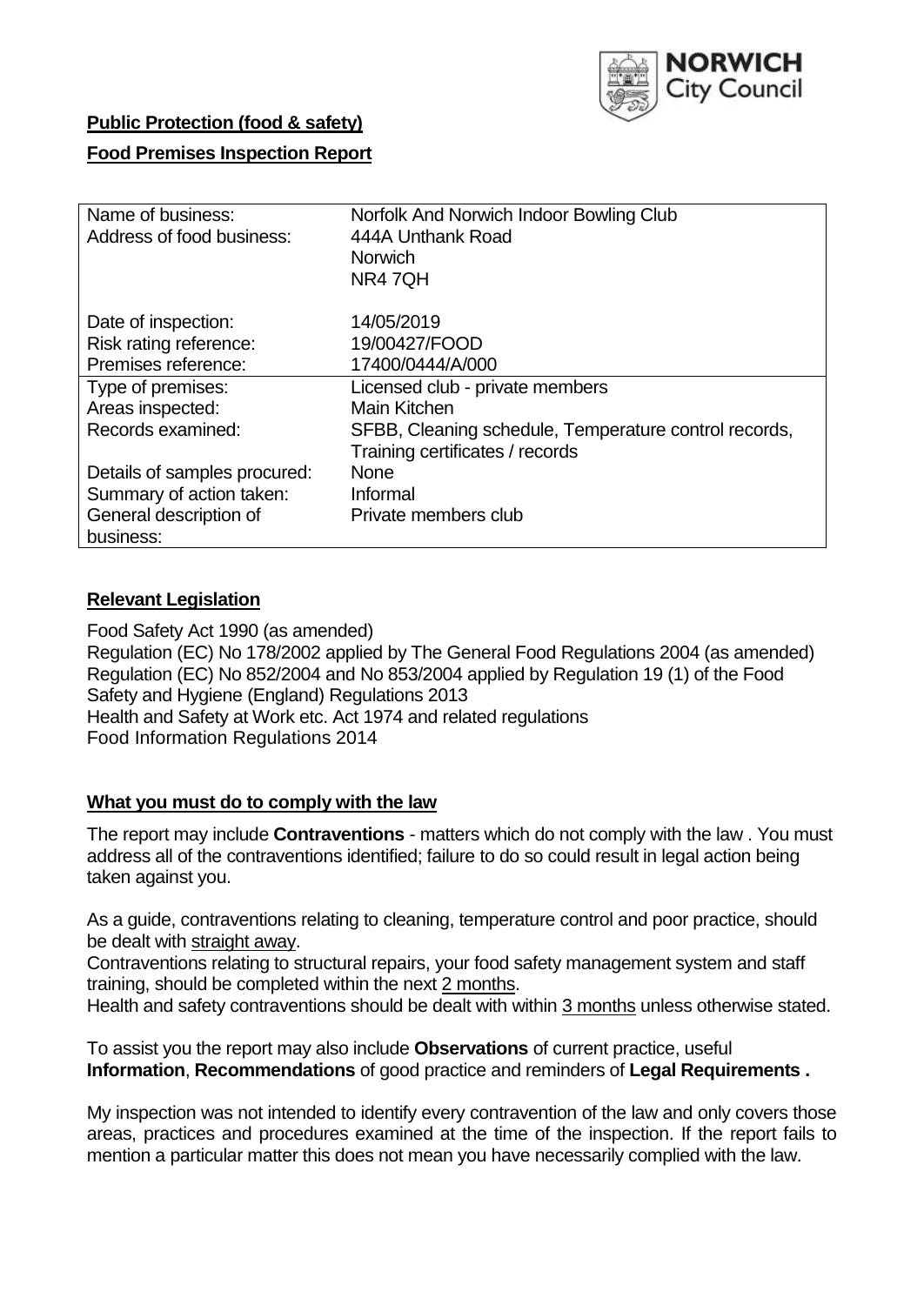

# **Public Protection (food & safety)**

# **Food Premises Inspection Report**

| Name of business:            | Norfolk And Norwich Indoor Bowling Club               |
|------------------------------|-------------------------------------------------------|
| Address of food business:    | 444A Unthank Road                                     |
|                              | <b>Norwich</b>                                        |
|                              | NR47QH                                                |
| Date of inspection:          | 14/05/2019                                            |
| Risk rating reference:       | 19/00427/FOOD                                         |
| Premises reference:          | 17400/0444/A/000                                      |
| Type of premises:            | Licensed club - private members                       |
| Areas inspected:             | Main Kitchen                                          |
| Records examined:            | SFBB, Cleaning schedule, Temperature control records, |
|                              | Training certificates / records                       |
| Details of samples procured: | <b>None</b>                                           |
| Summary of action taken:     | Informal                                              |
| General description of       | Private members club                                  |
| business:                    |                                                       |

## **Relevant Legislation**

Food Safety Act 1990 (as amended) Regulation (EC) No 178/2002 applied by The General Food Regulations 2004 (as amended) Regulation (EC) No 852/2004 and No 853/2004 applied by Regulation 19 (1) of the Food Safety and Hygiene (England) Regulations 2013 Health and Safety at Work etc. Act 1974 and related regulations Food Information Regulations 2014

#### **What you must do to comply with the law**

The report may include **Contraventions** - matters which do not comply with the law . You must address all of the contraventions identified; failure to do so could result in legal action being taken against you.

As a guide, contraventions relating to cleaning, temperature control and poor practice, should be dealt with straight away.

Contraventions relating to structural repairs, your food safety management system and staff training, should be completed within the next 2 months.

Health and safety contraventions should be dealt with within 3 months unless otherwise stated.

To assist you the report may also include **Observations** of current practice, useful **Information**, **Recommendations** of good practice and reminders of **Legal Requirements .**

My inspection was not intended to identify every contravention of the law and only covers those areas, practices and procedures examined at the time of the inspection. If the report fails to mention a particular matter this does not mean you have necessarily complied with the law.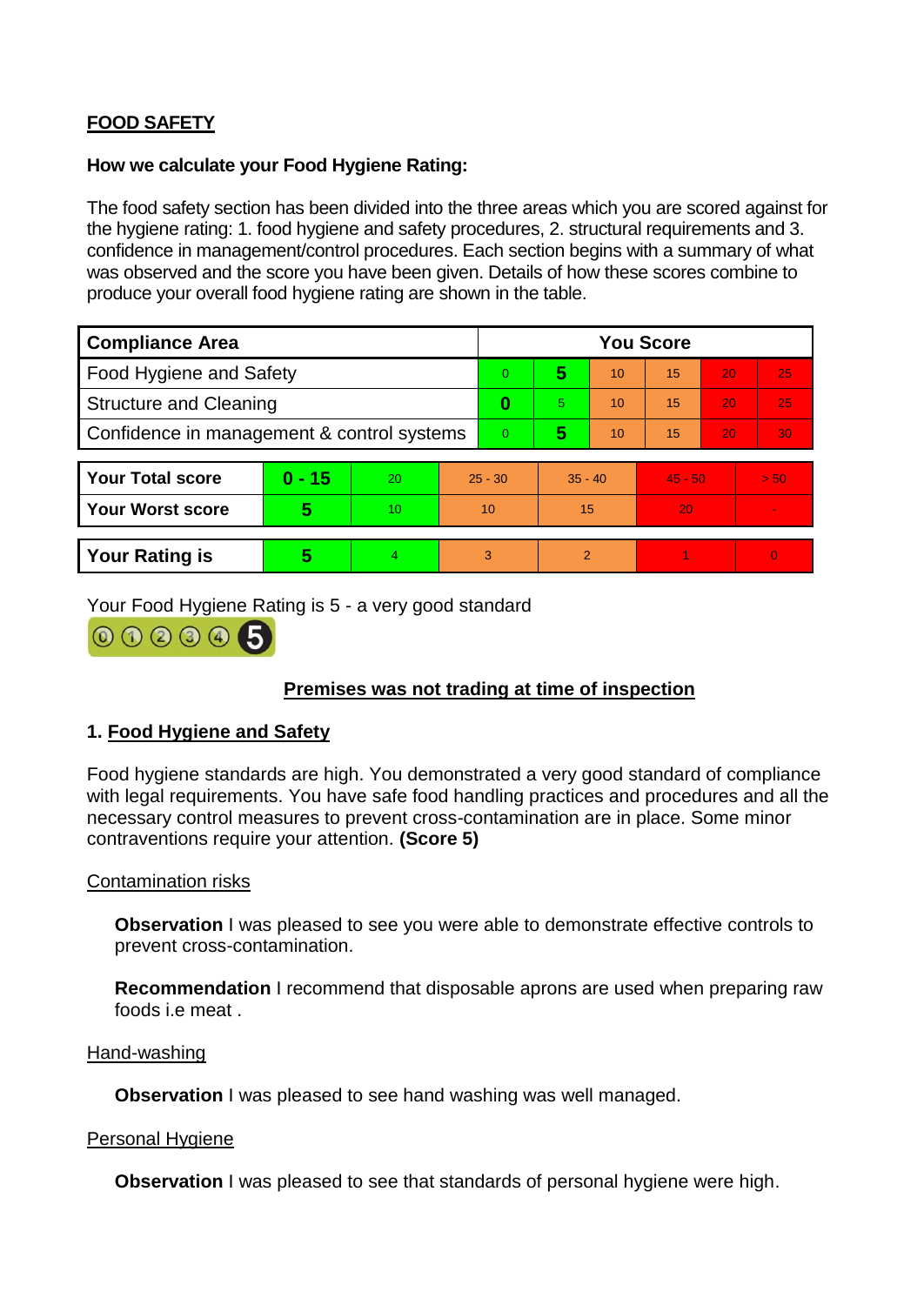# **FOOD SAFETY**

## **How we calculate your Food Hygiene Rating:**

The food safety section has been divided into the three areas which you are scored against for the hygiene rating: 1. food hygiene and safety procedures, 2. structural requirements and 3. confidence in management/control procedures. Each section begins with a summary of what was observed and the score you have been given. Details of how these scores combine to produce your overall food hygiene rating are shown in the table.

| <b>Compliance Area</b>                     |          |    |                | <b>You Score</b> |               |    |           |    |                |  |  |
|--------------------------------------------|----------|----|----------------|------------------|---------------|----|-----------|----|----------------|--|--|
| Food Hygiene and Safety                    |          |    | $\Omega$       | 5                | 10            | 15 | 20        | 25 |                |  |  |
| <b>Structure and Cleaning</b>              |          |    | 0              | 5.               | 10            | 15 | 20        | 25 |                |  |  |
| Confidence in management & control systems |          |    | $\overline{0}$ | 5                | 10            | 15 | 20        | 30 |                |  |  |
|                                            |          |    |                |                  |               |    |           |    |                |  |  |
| <b>Your Total score</b>                    | $0 - 15$ | 20 | $25 - 30$      |                  | $35 - 40$     |    | $45 - 50$ |    | > 50           |  |  |
| <b>Your Worst score</b>                    | 5        | 10 | 10             |                  | 15            |    | 20        |    | $\blacksquare$ |  |  |
|                                            |          |    |                |                  |               |    |           |    |                |  |  |
| <b>Your Rating is</b>                      | 5        |    | 3              |                  | $\mathcal{P}$ |    |           |    | $\overline{0}$ |  |  |

Your Food Hygiene Rating is 5 - a very good standard

000005

# **Premises was not trading at time of inspection**

# **1. Food Hygiene and Safety**

Food hygiene standards are high. You demonstrated a very good standard of compliance with legal requirements. You have safe food handling practices and procedures and all the necessary control measures to prevent cross-contamination are in place. Some minor contraventions require your attention. **(Score 5)**

# Contamination risks

**Observation** I was pleased to see you were able to demonstrate effective controls to prevent cross-contamination.

**Recommendation** I recommend that disposable aprons are used when preparing raw foods i.e meat .

#### Hand-washing

**Observation** I was pleased to see hand washing was well managed.

#### Personal Hygiene

**Observation** I was pleased to see that standards of personal hygiene were high.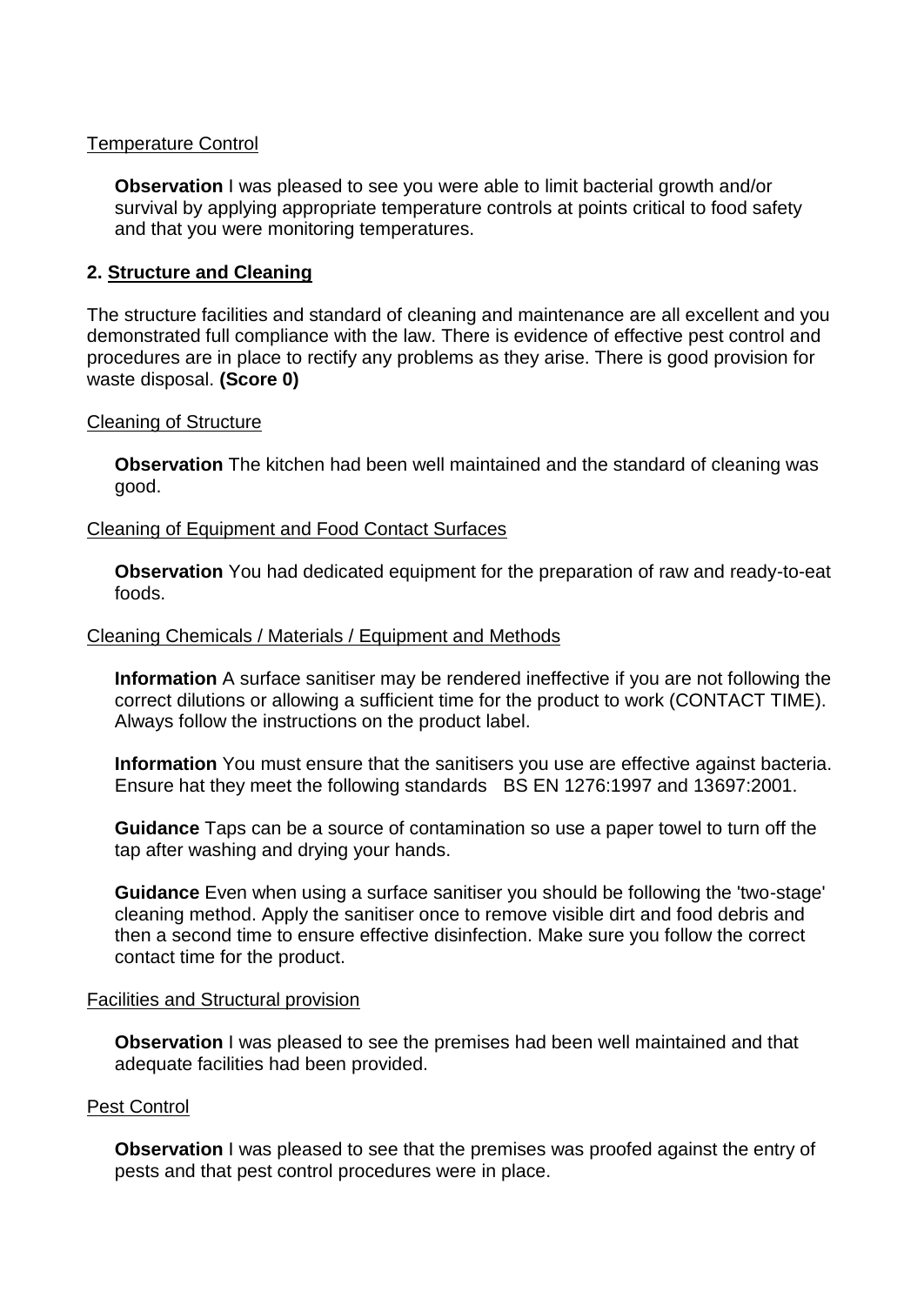## Temperature Control

**Observation** I was pleased to see you were able to limit bacterial growth and/or survival by applying appropriate temperature controls at points critical to food safety and that you were monitoring temperatures.

## **2. Structure and Cleaning**

The structure facilities and standard of cleaning and maintenance are all excellent and you demonstrated full compliance with the law. There is evidence of effective pest control and procedures are in place to rectify any problems as they arise. There is good provision for waste disposal. **(Score 0)**

#### Cleaning of Structure

**Observation** The kitchen had been well maintained and the standard of cleaning was good.

#### Cleaning of Equipment and Food Contact Surfaces

**Observation** You had dedicated equipment for the preparation of raw and ready-to-eat foods.

#### Cleaning Chemicals / Materials / Equipment and Methods

**Information** A surface sanitiser may be rendered ineffective if you are not following the correct dilutions or allowing a sufficient time for the product to work (CONTACT TIME). Always follow the instructions on the product label.

**Information** You must ensure that the sanitisers you use are effective against bacteria. Ensure hat they meet the following standards BS EN 1276:1997 and 13697:2001.

**Guidance** Taps can be a source of contamination so use a paper towel to turn off the tap after washing and drying your hands.

**Guidance** Even when using a surface sanitiser you should be following the 'two-stage' cleaning method. Apply the sanitiser once to remove visible dirt and food debris and then a second time to ensure effective disinfection. Make sure you follow the correct contact time for the product.

#### Facilities and Structural provision

**Observation** I was pleased to see the premises had been well maintained and that adequate facilities had been provided.

#### Pest Control

**Observation** I was pleased to see that the premises was proofed against the entry of pests and that pest control procedures were in place.